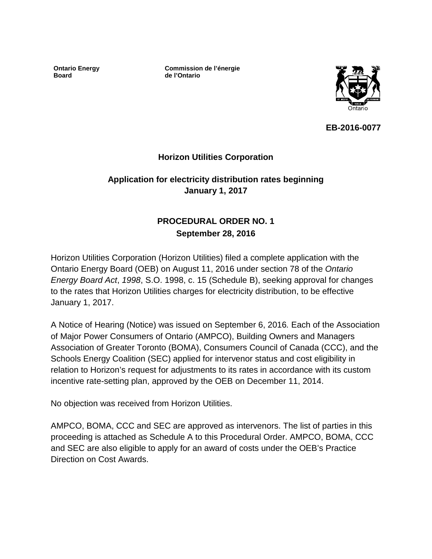**Ontario Energy Board**

**Commission de l'énergie de l'Ontario**



**EB-2016-0077**

# **Horizon Utilities Corporation**

# **Application for electricity distribution rates beginning January 1, 2017**

# **PROCEDURAL ORDER NO. 1 September 28, 2016**

Horizon Utilities Corporation (Horizon Utilities) filed a complete application with the Ontario Energy Board (OEB) on August 11, 2016 under section 78 of the *Ontario Energy Board Act*, *1998*, S.O. 1998, c. 15 (Schedule B), seeking approval for changes to the rates that Horizon Utilities charges for electricity distribution, to be effective January 1, 2017.

A Notice of Hearing (Notice) was issued on September 6, 2016*.* Each of the Association of Major Power Consumers of Ontario (AMPCO), Building Owners and Managers Association of Greater Toronto (BOMA), Consumers Council of Canada (CCC), and the Schools Energy Coalition (SEC) applied for intervenor status and cost eligibility in relation to Horizon's request for adjustments to its rates in accordance with its custom incentive rate-setting plan, approved by the OEB on December 11, 2014.

No objection was received from Horizon Utilities.

AMPCO, BOMA, CCC and SEC are approved as intervenors. The list of parties in this proceeding is attached as Schedule A to this Procedural Order. AMPCO, BOMA, CCC and SEC are also eligible to apply for an award of costs under the OEB's Practice Direction on Cost Awards.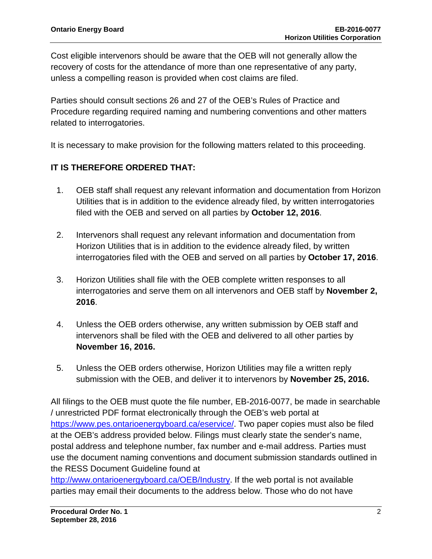Cost eligible intervenors should be aware that the OEB will not generally allow the recovery of costs for the attendance of more than one representative of any party, unless a compelling reason is provided when cost claims are filed.

Parties should consult sections 26 and 27 of the OEB's Rules of Practice and Procedure regarding required naming and numbering conventions and other matters related to interrogatories.

It is necessary to make provision for the following matters related to this proceeding.

# **IT IS THEREFORE ORDERED THAT:**

- 1. OEB staff shall request any relevant information and documentation from Horizon Utilities that is in addition to the evidence already filed, by written interrogatories filed with the OEB and served on all parties by **October 12, 2016**.
- 2. Intervenors shall request any relevant information and documentation from Horizon Utilities that is in addition to the evidence already filed, by written interrogatories filed with the OEB and served on all parties by **October 17, 2016**.
- 3. Horizon Utilities shall file with the OEB complete written responses to all interrogatories and serve them on all intervenors and OEB staff by **November 2, 2016**.
- 4. Unless the OEB orders otherwise, any written submission by OEB staff and intervenors shall be filed with the OEB and delivered to all other parties by **November 16, 2016.**
- 5. Unless the OEB orders otherwise, Horizon Utilities may file a written reply submission with the OEB, and deliver it to intervenors by **November 25, 2016.**

All filings to the OEB must quote the file number, EB-2016-0077, be made in searchable / unrestricted PDF format electronically through the OEB's web portal at [https://www.pes.ontarioenergyboard.ca/eservice/.](https://www.pes.ontarioenergyboard.ca/eservice/) Two paper copies must also be filed at the OEB's address provided below. Filings must clearly state the sender's name, postal address and telephone number, fax number and e-mail address. Parties must use the document naming conventions and document submission standards outlined in the RESS Document Guideline found at

[http://www.ontarioenergyboard.ca/OEB/Industry.](http://www.ontarioenergyboard.ca/OEB/Industry) If the web portal is not available parties may email their documents to the address below. Those who do not have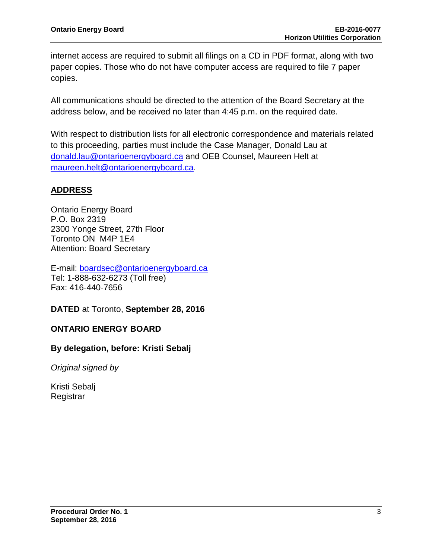internet access are required to submit all filings on a CD in PDF format, along with two paper copies. Those who do not have computer access are required to file 7 paper copies.

All communications should be directed to the attention of the Board Secretary at the address below, and be received no later than 4:45 p.m. on the required date.

With respect to distribution lists for all electronic correspondence and materials related to this proceeding, parties must include the Case Manager, Donald Lau at [donald.lau@ontarioenergyboard.ca](mailto:donald.lau@ontarioenergyboard.ca) and OEB Counsel, Maureen Helt at [maureen.helt@ontarioenergyboard.ca.](mailto:maureen.helt@ontarioenergyboard.ca)

# **ADDRESS**

Ontario Energy Board P.O. Box 2319 2300 Yonge Street, 27th Floor Toronto ON M4P 1E4 Attention: Board Secretary

E-mail: [boardsec@ontarioenergyboard.ca](mailto:boardsec@ontarioenergyboard.ca) Tel: 1-888-632-6273 (Toll free) Fax: 416-440-7656

**DATED** at Toronto, **September 28, 2016**

# **ONTARIO ENERGY BOARD**

### **By delegation, before: Kristi Sebalj**

*Original signed by*

Kristi Sebalj **Registrar**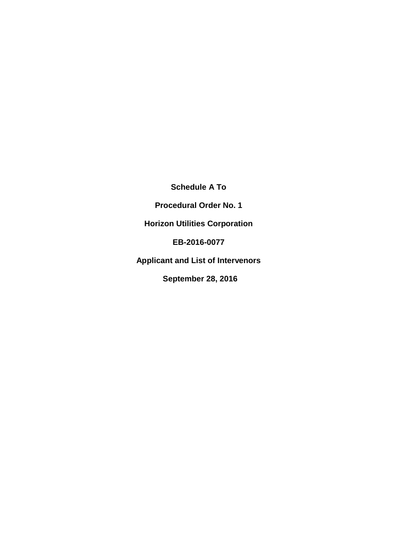**Schedule A To**

**Procedural Order No. 1**

**Horizon Utilities Corporation**

**EB-2016-0077**

**Applicant and List of Intervenors**

**September 28, 2016**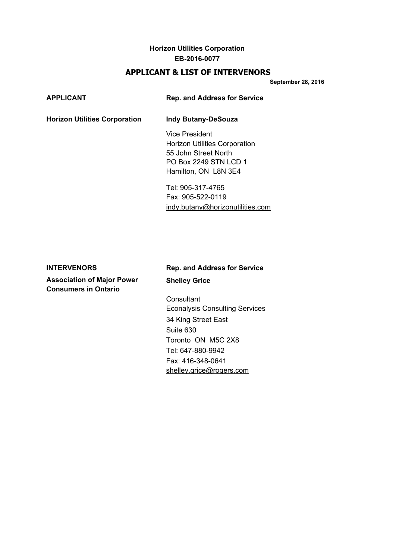# **APPLICANT & LIST OF INTERVENORS**

**September 28, 2016**

| <b>Horizon Utilities Corporation</b><br><b>Indy Butany-DeSouza</b><br>Vice President<br><b>Horizon Utilities Corporation</b><br>55 John Street North<br>PO Box 2249 STN LCD 1<br>Hamilton, ON L8N 3E4<br>Tel: 905-317-4765<br>Fax: 905-522-0119<br>indy.butany@horizonutilities.com | <b>APPLICANT</b> | <b>Rep. and Address for Service</b> |
|-------------------------------------------------------------------------------------------------------------------------------------------------------------------------------------------------------------------------------------------------------------------------------------|------------------|-------------------------------------|
|                                                                                                                                                                                                                                                                                     |                  |                                     |
|                                                                                                                                                                                                                                                                                     |                  |                                     |
|                                                                                                                                                                                                                                                                                     |                  |                                     |

**Association of Major Power Shelley Grice Consumers in Ontario**

# **INTERVENORS Rep. and Address for Service**

**Consultant** Econalysis Consulting Services 34 King Street East Suite 630 Toronto ON M5C 2X8 Tel: 647-880-9942 Fax: 416-348-0641 [shelley.grice@rogers.com](mailto:shelley.grice@rogers.com)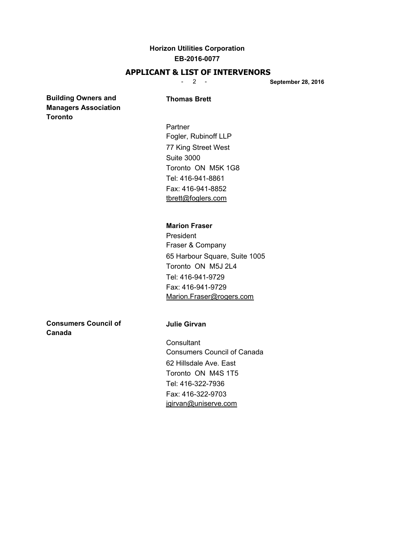### **APPLICANT & LIST OF INTERVENORS**

- 2 - **September 28, 2016**

### **Building Owners and Thomas Brett Managers Association Toronto**

Partner Fogler, Rubinoff LLP 77 King Street West Suite 3000 Toronto ON M5K 1G8 Tel: 416-941-8861 Fax: 416-941-8852 [tbrett@foglers.com](mailto:tbrett@foglers.com)

### **Marion Fraser**

President Fraser & Company 65 Harbour Square, Suite 1005 Toronto ON M5J 2L4 Tel: 416-941-9729 Fax: 416-941-9729 [Marion.Fraser@rogers.com](mailto:Marion.Fraser@rogers.com)

**Consumers Council of The Julie Girvan Canada**

**Consultant** Consumers Council of Canada 62 Hillsdale Ave. East Toronto ON M4S 1T5 Tel: 416-322-7936 Fax: 416-322-9703 [jgirvan@uniserve.com](mailto:jgirvan@uniserve.com)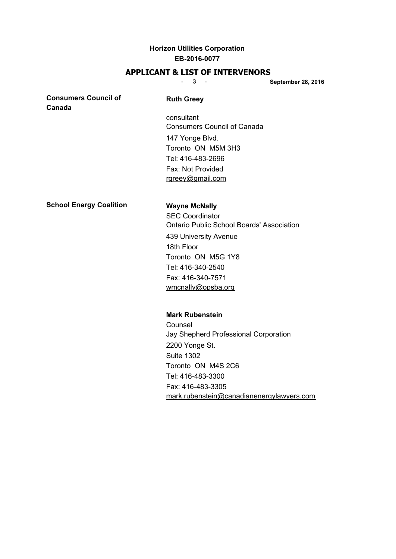### **APPLICANT & LIST OF INTERVENORS**

- 3 - **September 28, 2016**

**Consumers Council of Ruth Greey Canada**

consultant Consumers Council of Canada 147 Yonge Blvd. Toronto ON M5M 3H3 Tel: 416-483-2696 Fax: Not Provided [rgreey@gmail.com](mailto:rgreey@gmail.com)

**School Energy Coalition Wayne McNally**

SEC Coordinator Ontario Public School Boards' Association 439 University Avenue 18th Floor Toronto ON M5G 1Y8 Tel: 416-340-2540 Fax: 416-340-7571 [wmcnally@opsba.org](mailto:wmcnally@opsba.org)

### **Mark Rubenstein**

Counsel Jay Shepherd Professional Corporation 2200 Yonge St. Suite 1302 Toronto ON M4S 2C6 Tel: 416-483-3300 Fax: 416-483-3305 [mark.rubenstein@canadianenergylawyers.com](mailto:mark.rubenstein@canadianenergylawyers.com)